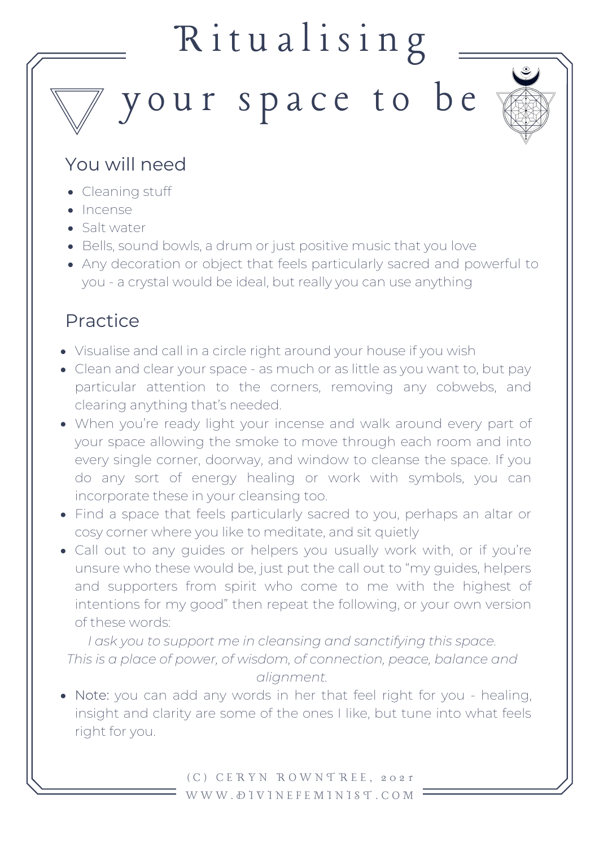## Ritualising

your space to be



## You will need

- Cleaning stuff
- Incense
- Salt water
- Bells, sound bowls, a drum or just positive music that you love
- Any decoration or object that feels particularly sacred and powerful to you - a crystal would be ideal, but really you can use anything

## Practice

- Visualise and call in a circle right around your house if you wish
- Clean and clear your space as much or as little as you want to, but pay particular attention to the corners, removing any cobwebs, and clearing anything that's needed.
- When you're ready light your incense and walk around every part of your space allowing the smoke to move through each room and into every single corner, doorway, and window to cleanse the space. If you do any sort of energy healing or work with symbols, you can incorporate these in your cleansing too.
- Find a space that feels particularly sacred to you, perhaps an altar or cosy corner where you like to meditate, and sit quietly
- Call out to any guides or helpers you usually work with, or if you're unsure who these would be, just put the call out to "my guides, helpers and supporters from spirit who come to me with the highest of intentions for my good" then repeat the following, or your own version of these words:

*I ask you to support me in cleansing and sanctifying this space. This is a place of power, of wisdom, of connection, peace, balance and alignment.*

Note: you can add any words in her that feel right for you - healing, insight and clarity are some of the ones I like, but tune into what feels right for you.